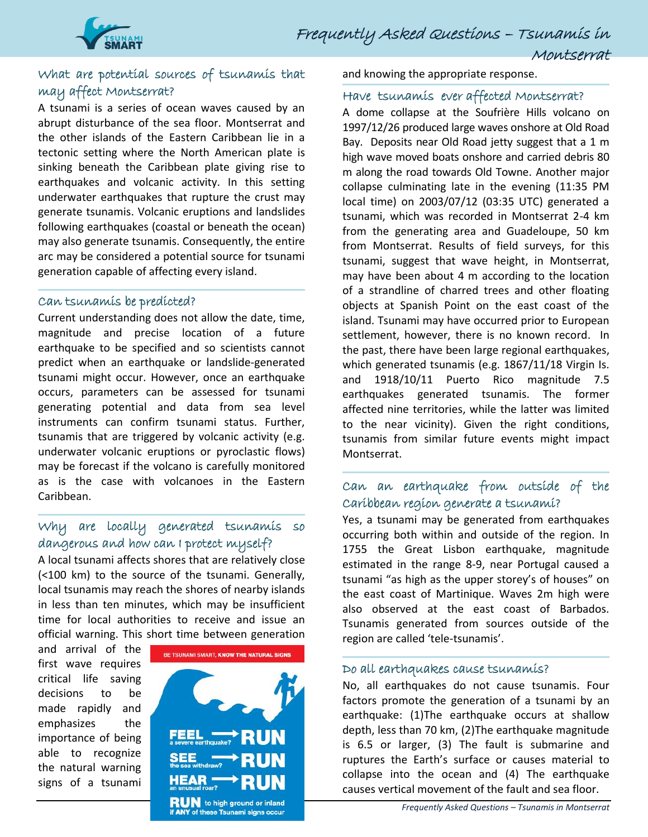

Montserrat

# What are potential sources of tsunamis that may affect Montserrat?

A tsunami is a series of ocean waves caused by an abrupt disturbance of the sea floor. Montserrat and the other islands of the Eastern Caribbean lie in a tectonic setting where the North American plate is sinking beneath the Caribbean plate giving rise to earthquakes and volcanic activity. In this setting underwater earthquakes that rupture the crust may generate tsunamis. Volcanic eruptions and landslides following earthquakes (coastal or beneath the ocean) may also generate tsunamis. Consequently, the entire arc may be considered a potential source for tsunami generation capable of affecting every island.

#### Can tsunamis be predicted?

Current understanding does not allow the date, time, magnitude and precise location of a future earthquake to be specified and so scientists cannot predict when an earthquake or landslide-generated tsunami might occur. However, once an earthquake occurs, parameters can be assessed for tsunami generating potential and data from sea level instruments can confirm tsunami status. Further, tsunamis that are triggered by volcanic activity (e.g. underwater volcanic eruptions or pyroclastic flows) may be forecast if the volcano is carefully monitored as is the case with volcanoes in the Eastern Caribbean[.](http://www.uwiseismic.com/General.aspx?id=21)

# Why are locally generated tsunamis so dangerous and how can I protect myself?

A local tsunami affects shores that are relatively close (<100 km) to the source of the tsunami. Generally, local tsunamis may reach the shores of nearby islands in less than ten minutes, which may be insufficient time for local authorities to receive and issue an official warning. This short time between generation

and arrival of the first wave requires critical life saving decisions to be made rapidly and emphasizes the importance of being able to recognize the natural warning signs of a tsunami



and knowing the appropriate response.

#### Have tsunamis ever affected Montserrat?

A dome collapse at the Soufrière Hills volcano on 1997/12/26 produced large waves onshore at Old Road Bay. Deposits near Old Road jetty suggest that a 1 m high wave moved boats onshore and carried debris 80 m along the road towards Old Towne. Another major collapse culminating late in the evening (11:35 PM local time) on 2003/07/12 (03:35 UTC) generated a tsunami, which was recorded in Montserrat 2-4 km from the generating area and Guadeloupe, 50 km from Montserrat. Results of field surveys, for this tsunami, suggest that wave height, in Montserrat, may have been about 4 m according to the location of a strandline of charred trees and other floating objects at Spanish Point on the east coast of the island. Tsunami may have occurred prior to European settlement, however, there is no known record. In the past, there have been large regional earthquakes, which generated tsunamis (e.g. 1867/11/18 Virgin Is. and 1918/10/11 Puerto Rico magnitude 7.5 earthquakes generated tsunamis. The former affected nine territories, while the latter was limited to the near vicinity). Given the right conditions, tsunamis from similar future events might impact Montserrat.

# Can an earthquake from outside of the Caribbean region generate a tsunami?

Yes, a tsunami may be generated from earthquakes occurring both within and outside of the region. In 1755 the Great Lisbon earthquake, magnitude estimated in the range 8-9, near Portugal caused a tsunami "as high as the upper storey's of houses" on the east coast of Martinique. Waves 2m high were also observed at the east coast of Barbados. Tsunamis generated from sources outside of the region are called 'tele-tsunamis'.

### Do all earthquakes cause tsunamis?

No, all earthquakes do not cause tsunamis. Four factors promote the generation of a tsunami by an earthquake: (1)The earthquake occurs at shallow depth, less than 70 km, (2)The earthquake magnitude is 6.5 or larger, (3) The fault is submarine and ruptures the Earth's surface or causes material to collapse into the ocean and (4) The earthquake causes vertical movement of the fault and sea floor.